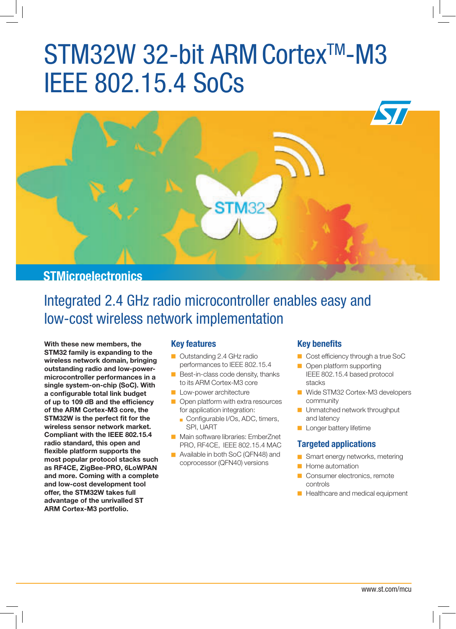# STM32W 32-bit ARM Cortex™-M3 IEEE 802.15.4 SoCs



## **STMicroelectronics**

## Integrated 2.4 GHz radio microcontroller enables easy and low-cost wireless network implementation

**With these new members, the STM32 family is expanding to the wireless network domain, bringing outstanding radio and low-powermicrocontroller performances in a single system-on-chip (SoC). With a configurable total link budget of up to 109 dB and the efficiency of the ARM Cortex-M3 core, the STM32W is the perfect fit for the wireless sensor network market. Compliant with the IEEE 802.15.4 radio standard, this open and flexible platform supports the most popular protocol stacks such as RF4CE, ZigBee-PRO, 6LoWPAN and more. Coming with a complete and low-cost development tool offer, the STM32W takes full advantage of the unrivalled ST ARM Cortex-M3 portfolio.**

#### **Key features**

- Outstanding 2.4 GHz radio performances to IEEE 802.15.4
- $\blacksquare$  Best-in-class code density, thanks to its ARM Cortex-M3 core
- Low-power architecture
- $\Box$  Open platform with extra resources for application integration:
	- Configurable I/Os, ADC, timers, SPI, UART
- Main software libraries: EmberZnet PRO, RF4CE, IEEE 802.15.4 MAC
- Available in both SoC (QFN48) and coprocessor (QFN40) versions

#### **Key benefits**

- Cost efficiency through a true SoC
- **Open platform supporting** IEEE 802.15.4 based protocol stacks
- Wide STM32 Cortex-M3 developers community
- **Unmatched network throughput** and latency
- **Longer battery lifetime**

#### **Targeted applications**

- **G** Smart energy networks, metering
- $\blacksquare$  Home automation
- Consumer electronics, remote controls
- Healthcare and medical equipment